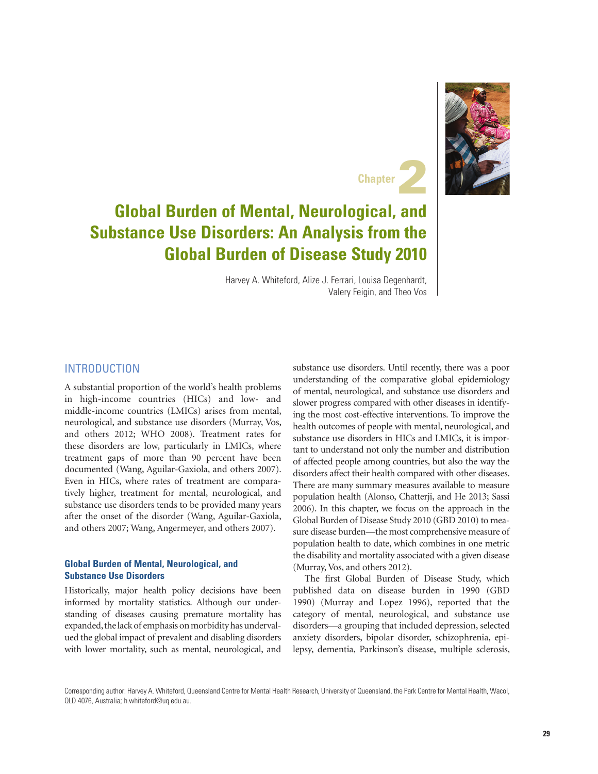



# **Global Burden of Mental, Neurological, and Substance Use Disorders: An Analysis from the Global Burden of Disease Study 2010**

Harvey A. Whiteford, Alize J. Ferrari, Louisa Degenhardt, Valery Feigin, and Theo Vos

#### **INTRODUCTION**

A substantial proportion of the world's health problems in high-income countries (HICs) and low- and middle-income countries (LMICs) arises from mental, neurological, and substance use disorders (Murray, Vos, and others 2012; WHO 2008). Treatment rates for these disorders are low, particularly in LMICs, where treatment gaps of more than 90 percent have been documented (Wang, Aguilar-Gaxiola, and others 2007). Even in HICs, where rates of treatment are comparatively higher, treatment for mental, neurological, and substance use disorders tends to be provided many years after the onset of the disorder (Wang, Aguilar-Gaxiola, and others 2007; Wang, Angermeyer, and others 2007).

#### **Global Burden of Mental, Neurological, and Substance Use Disorders**

Historically, major health policy decisions have been informed by mortality statistics. Although our understanding of diseases causing premature mortality has expanded, the lack of emphasis on morbidity has undervalued the global impact of prevalent and disabling disorders with lower mortality, such as mental, neurological, and substance use disorders. Until recently, there was a poor understanding of the comparative global epidemiology of mental, neurological, and substance use disorders and slower progress compared with other diseases in identifying the most cost-effective interventions. To improve the health outcomes of people with mental, neurological, and substance use disorders in HICs and LMICs, it is important to understand not only the number and distribution of affected people among countries, but also the way the disorders affect their health compared with other diseases. There are many summary measures available to measure population health (Alonso, Chatterji, and He 2013; Sassi 2006). In this chapter, we focus on the approach in the Global Burden of Disease Study 2010 (GBD 2010) to measure disease burden—the most comprehensive measure of population health to date, which combines in one metric the disability and mortality associated with a given disease (Murray, Vos, and others 2012).

The first Global Burden of Disease Study, which published data on disease burden in 1990 (GBD 1990) (Murray and Lopez 1996), reported that the category of mental, neurological, and substance use disorders—a grouping that included depression, selected anxiety disorders, bipolar disorder, schizophrenia, epilepsy, dementia, Parkinson's disease, multiple sclerosis,

Corresponding author: Harvey A. Whiteford, Queensland Centre for Mental Health Research, University of Queensland, the Park Centre for Mental Health, Wacol, QLD 4076, Australia; h.whiteford@uq.edu.au.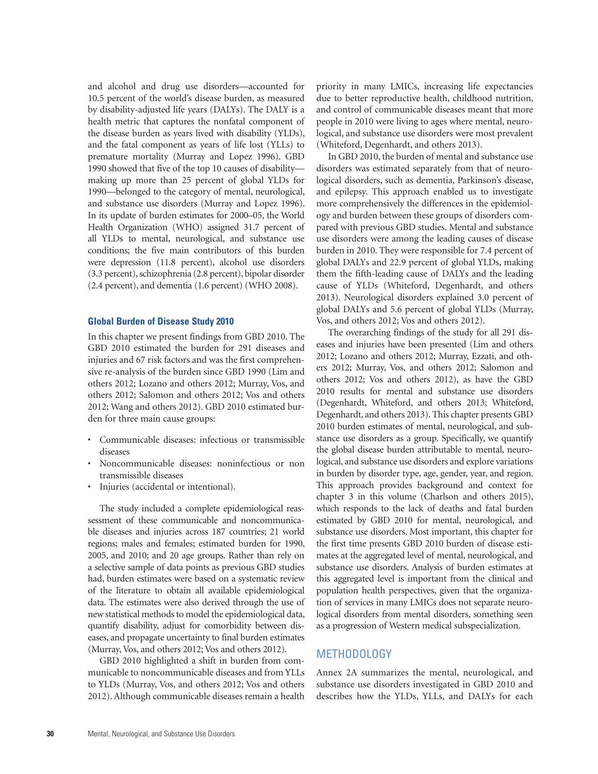and alcohol and drug use disorders—accounted for 10.5 percent of the world's disease burden, as measured by disability-adjusted life years (DALYs). The DALY is a health metric that captures the nonfatal component of the disease burden as years lived with disability (YLDs), and the fatal component as years of life lost (YLLs) to premature mortality (Murray and Lopez 1996). GBD 1990 showed that five of the top 10 causes of disability making up more than 25 percent of global YLDs for 1990—belonged to the category of mental, neurological, and substance use disorders (Murray and Lopez 1996). In its update of burden estimates for 2000–05, the World Health Organization (WHO) assigned 31.7 percent of all YLDs to mental, neurological, and substance use conditions; the five main contributors of this burden were depression (11.8 percent), alcohol use disorders (3.3 percent), schizophrenia (2.8 percent), bipolar disorder (2.4 percent), and dementia (1.6 percent) (WHO 2008).

#### **Global Burden of Disease Study 2010**

In this chapter we present findings from GBD 2010. The GBD 2010 estimated the burden for 291 diseases and injuries and 67 risk factors and was the first comprehensive re-analysis of the burden since GBD 1990 (Lim and others 2012; Lozano and others 2012; Murray, Vos, and others 2012; Salomon and others 2012; Vos and others 2012; Wang and others 2012). GBD 2010 estimated burden for three main cause groups:

- Communicable diseases: infectious or transmissible diseases
- Noncommunicable diseases: noninfectious or non transmissible diseases
- Injuries (accidental or intentional).

The study included a complete epidemiological reassessment of these communicable and noncommunicable diseases and injuries across 187 countries; 21 world regions; males and females; estimated burden for 1990, 2005, and 2010; and 20 age groups. Rather than rely on a selective sample of data points as previous GBD studies had, burden estimates were based on a systematic review of the literature to obtain all available epidemiological data. The estimates were also derived through the use of new statistical methods to model the epidemiological data, quantify disability, adjust for comorbidity between diseases, and propagate uncertainty to final burden estimates (Murray, Vos, and others 2012; Vos and others 2012).

GBD 2010 highlighted a shift in burden from communicable to noncommunicable diseases and from YLLs to YLDs (Murray, Vos, and others 2012; Vos and others 2012). Although communicable diseases remain a health

priority in many LMICs, increasing life expectancies due to better reproductive health, childhood nutrition, and control of communicable diseases meant that more people in 2010 were living to ages where mental, neurological, and substance use disorders were most prevalent (Whiteford, Degenhardt, and others 2013).

In GBD 2010, the burden of mental and substance use disorders was estimated separately from that of neurological disorders, such as dementia, Parkinson's disease, and epilepsy. This approach enabled us to investigate more comprehensively the differences in the epidemiology and burden between these groups of disorders compared with previous GBD studies. Mental and substance use disorders were among the leading causes of disease burden in 2010. They were responsible for 7.4 percent of global DALYs and 22.9 percent of global YLDs, making them the fifth-leading cause of DALYs and the leading cause of YLDs (Whiteford, Degenhardt, and others 2013). Neurological disorders explained 3.0 percent of global DALYs and 5.6 percent of global YLDs (Murray, Vos, and others 2012; Vos and others 2012).

The overarching findings of the study for all 291 diseases and injuries have been presented (Lim and others 2012; Lozano and others 2012; Murray, Ezzati, and others 2012; Murray, Vos, and others 2012; Salomon and others 2012; Vos and others 2012), as have the GBD 2010 results for mental and substance use disorders (Degenhardt, Whiteford, and others 2013; Whiteford, Degenhardt, and others 2013). This chapter presents GBD 2010 burden estimates of mental, neurological, and substance use disorders as a group. Specifically, we quantify the global disease burden attributable to mental, neurological, and substance use disorders and explore variations in burden by disorder type, age, gender, year, and region. This approach provides background and context for chapter 3 in this volume (Charlson and others 2015), which responds to the lack of deaths and fatal burden estimated by GBD 2010 for mental, neurological, and substance use disorders. Most important, this chapter for the first time presents GBD 2010 burden of disease estimates at the aggregated level of mental, neurological, and substance use disorders. Analysis of burden estimates at this aggregated level is important from the clinical and population health perspectives, given that the organization of services in many LMICs does not separate neurological disorders from mental disorders, something seen as a progression of Western medical subspecialization.

#### METHODOLOGY

Annex 2A summarizes the mental, neurological, and substance use disorders investigated in GBD 2010 and describes how the YLDs, YLLs, and DALYs for each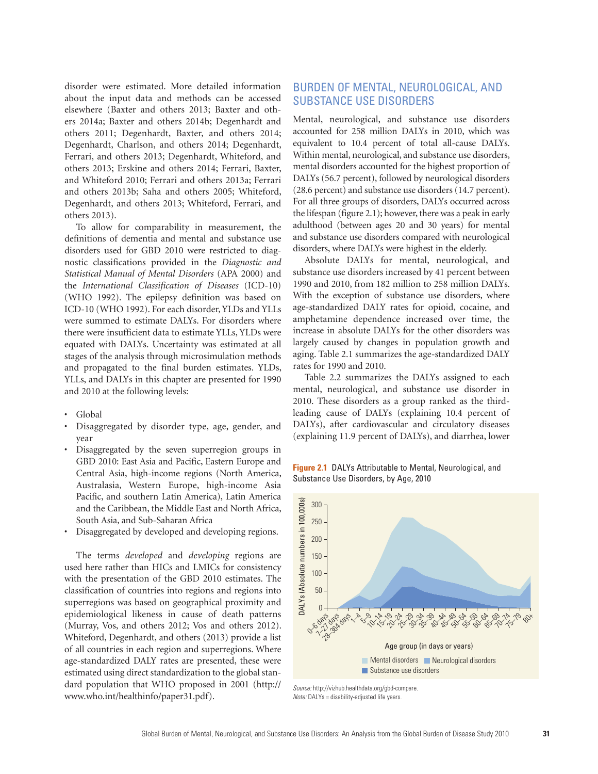disorder were estimated. More detailed information about the input data and methods can be accessed elsewhere (Baxter and others 2013; Baxter and others 2014a; Baxter and others 2014b; Degenhardt and others 2011; Degenhardt, Baxter, and others 2014; Degenhardt, Charlson, and others 2014; Degenhardt, Ferrari, and others 2013; Degenhardt, Whiteford, and others 2013; Erskine and others 2014; Ferrari, Baxter, and Whiteford 2010; Ferrari and others 2013a; Ferrari and others 2013b; Saha and others 2005; Whiteford, Degenhardt, and others 2013; Whiteford, Ferrari, and others 2013).

To allow for comparability in measurement, the definitions of dementia and mental and substance use disorders used for GBD 2010 were restricted to diagnostic classifications provided in the *Diagnostic and Statistical Manual of Mental Disorders* (APA 2000) and the *International Classification of Diseases* (ICD-10) (WHO 1992). The epilepsy definition was based on ICD-10 (WHO 1992). For each disorder, YLDs and YLLs were summed to estimate DALYs. For disorders where there were insufficient data to estimate YLLs, YLDs were equated with DALYs. Uncertainty was estimated at all stages of the analysis through microsimulation methods and propagated to the final burden estimates. YLDs, YLLs, and DALYs in this chapter are presented for 1990 and 2010 at the following levels:

- Global
- Disaggregated by disorder type, age, gender, and year
- Disaggregated by the seven superregion groups in GBD 2010: East Asia and Pacific, Eastern Europe and Central Asia, high-income regions (North America, Australasia, Western Europe, high-income Asia Pacific, and southern Latin America), Latin America and the Caribbean, the Middle East and North Africa, South Asia, and Sub-Saharan Africa
- Disaggregated by developed and developing regions.

The terms *developed* and *developing* regions are used here rather than HICs and LMICs for consistency with the presentation of the GBD 2010 estimates. The classification of countries into regions and regions into superregions was based on geographical proximity and epidemiological likeness in cause of death patterns (Murray, Vos, and others 2012; Vos and others 2012). Whiteford, Degenhardt, and others (2013) provide a list of all countries in each region and superregions. Where age-standardized DALY rates are presented, these were estimated using direct standardization to the global standard population that WHO proposed in 2001 [\(http://](http://www.who.int/healthinfo/paper31.pdf) [www.who.int/healthinfo/paper31.pdf](http://www.who.int/healthinfo/paper31.pdf)).

# BURDEN OF MENTAL, NEUROLOGICAL, AND SUBSTANCE USE DISORDERS

Mental, neurological, and substance use disorders accounted for 258 million DALYs in 2010, which was equivalent to 10.4 percent of total all-cause DALYs. Within mental, neurological, and substance use disorders, mental disorders accounted for the highest proportion of DALYs (56.7 percent), followed by neurological disorders (28.6 percent) and substance use disorders (14.7 percent). For all three groups of disorders, DALYs occurred across the lifespan (figure 2.1); however, there was a peak in early adulthood (between ages 20 and 30 years) for mental and substance use disorders compared with neurological disorders, where DALYs were highest in the elderly.

Absolute DALYs for mental, neurological, and substance use disorders increased by 41 percent between 1990 and 2010, from 182 million to 258 million DALYs. With the exception of substance use disorders, where age-standardized DALY rates for opioid, cocaine, and amphetamine dependence increased over time, the increase in absolute DALYs for the other disorders was largely caused by changes in population growth and aging. Table 2.1 summarizes the age-standardized DALY rates for 1990 and 2010.

Table 2.2 summarizes the DALYs assigned to each mental, neurological, and substance use disorder in 2010. These disorders as a group ranked as the thirdleading cause of DALYs (explaining 10.4 percent of DALYs), after cardiovascular and circulatory diseases (explaining 11.9 percent of DALYs), and diarrhea, lower

**Figure 2.1** DALYs Attributable to Mental, Neurological, and Substance Use Disorders, by Age, 2010



*Source:* [http://vizhub.healthdata.org/gbd-compare.](http://vizhub.healthdata.org/gbd-compare) *Note:* DALYs = disability-adjusted life years.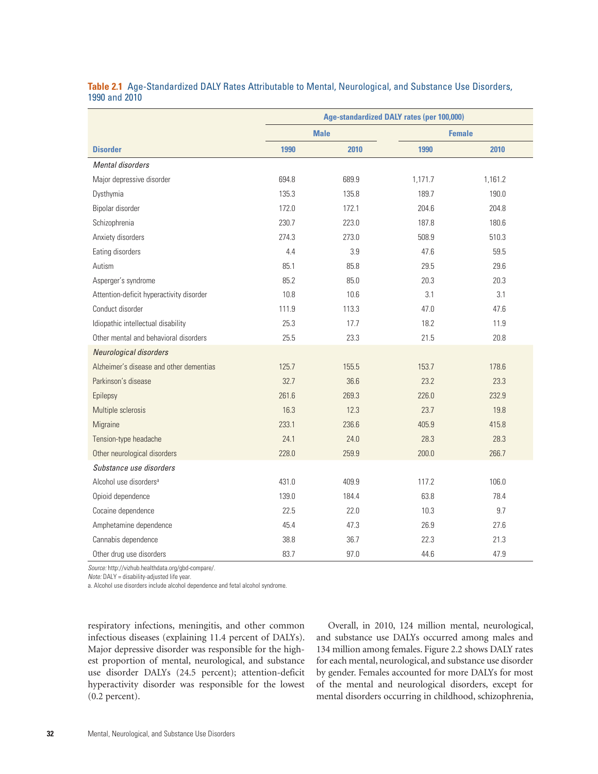|                                          | Age-standardized DALY rates (per 100,000) |       |               |         |
|------------------------------------------|-------------------------------------------|-------|---------------|---------|
|                                          | <b>Male</b>                               |       | <b>Female</b> |         |
| <b>Disorder</b>                          | 1990                                      | 2010  | 1990          | 2010    |
| Mental disorders                         |                                           |       |               |         |
| Major depressive disorder                | 694.8                                     | 689.9 | 1,171.7       | 1,161.2 |
| Dysthymia                                | 135.3                                     | 135.8 | 189.7         | 190.0   |
| Bipolar disorder                         | 172.0                                     | 172.1 | 204.6         | 204.8   |
| Schizophrenia                            | 230.7                                     | 223.0 | 187.8         | 180.6   |
| Anxiety disorders                        | 274.3                                     | 273.0 | 508.9         | 510.3   |
| Eating disorders                         | 4.4                                       | 3.9   | 47.6          | 59.5    |
| Autism                                   | 85.1                                      | 85.8  | 29.5          | 29.6    |
| Asperger's syndrome                      | 85.2                                      | 85.0  | 20.3          | 20.3    |
| Attention-deficit hyperactivity disorder | 10.8                                      | 10.6  | 3.1           | 3.1     |
| Conduct disorder                         | 111.9                                     | 113.3 | 47.0          | 47.6    |
| Idiopathic intellectual disability       | 25.3                                      | 17.7  | 18.2          | 11.9    |
| Other mental and behavioral disorders    | 25.5                                      | 23.3  | 21.5          | 20.8    |
| Neurological disorders                   |                                           |       |               |         |
| Alzheimer's disease and other dementias  | 125.7                                     | 155.5 | 153.7         | 178.6   |
| Parkinson's disease                      | 32.7                                      | 36.6  | 23.2          | 23.3    |
| Epilepsy                                 | 261.6                                     | 269.3 | 226.0         | 232.9   |
| Multiple sclerosis                       | 16.3                                      | 12.3  | 23.7          | 19.8    |
| Migraine                                 | 233.1                                     | 236.6 | 405.9         | 415.8   |
| Tension-type headache                    | 24.1                                      | 24.0  | 28.3          | 28.3    |
| Other neurological disorders             | 228.0                                     | 259.9 | 200.0         | 266.7   |
| Substance use disorders                  |                                           |       |               |         |
| Alcohol use disorders <sup>a</sup>       | 431.0                                     | 409.9 | 117.2         | 106.0   |
| Opioid dependence                        | 139.0                                     | 184.4 | 63.8          | 78.4    |
| Cocaine dependence                       | 22.5                                      | 22.0  | 10.3          | 9.7     |
| Amphetamine dependence                   | 45.4                                      | 47.3  | 26.9          | 27.6    |
| Cannabis dependence                      | 38.8                                      | 36.7  | 22.3          | 21.3    |
| Other drug use disorders                 | 83.7                                      | 97.0  | 44.6          | 47.9    |

#### **Table 2.1** Age-Standardized DALY Rates Attributable to Mental, Neurological, and Substance Use Disorders, 1990 and 2010

*Source:* [http://vizhub.healthdata.org/gbd-compare/.](http://vizhub.healthdata.org/gbd-compare/)

*Note:* DALY = disability-adjusted life year.

a. Alcohol use disorders include alcohol dependence and fetal alcohol syndrome.

respiratory infections, meningitis, and other common infectious diseases (explaining 11.4 percent of DALYs). Major depressive disorder was responsible for the highest proportion of mental, neurological, and substance use disorder DALYs (24.5 percent); attention-deficit hyperactivity disorder was responsible for the lowest (0.2 percent).

Overall, in 2010, 124 million mental, neurological, and substance use DALYs occurred among males and 134 million among females. Figure 2.2 shows DALY rates for each mental, neurological, and substance use disorder by gender. Females accounted for more DALYs for most of the mental and neurological disorders, except for mental disorders occurring in childhood, schizophrenia,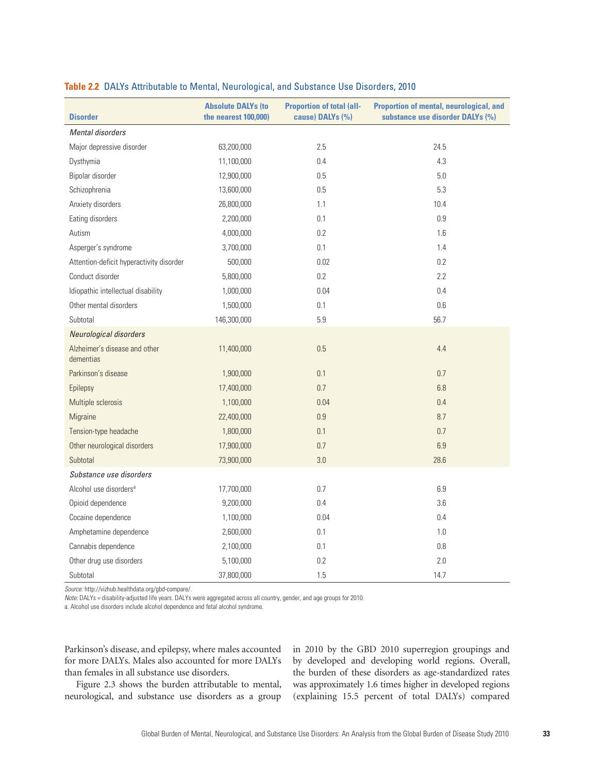| <b>Disorder</b>                            | <b>Absolute DALYs (to</b><br>the nearest 100,000) | <b>Proportion of total (all-</b><br>cause) DALYs (%) | <b>Proportion of mental, neurological, and</b><br>substance use disorder DALYs (%) |
|--------------------------------------------|---------------------------------------------------|------------------------------------------------------|------------------------------------------------------------------------------------|
| Mental disorders                           |                                                   |                                                      |                                                                                    |
| Major depressive disorder                  | 63,200,000                                        | 2.5                                                  | 24.5                                                                               |
| Dysthymia                                  | 11,100,000                                        | 0.4                                                  | 4.3                                                                                |
| Bipolar disorder                           | 12,900,000                                        | 0.5                                                  | 5.0                                                                                |
| Schizophrenia                              | 13,600,000                                        | 0.5                                                  | 5.3                                                                                |
| Anxiety disorders                          | 26,800,000                                        | 1.1                                                  | 10.4                                                                               |
| Eating disorders                           | 2,200,000                                         | 0.1                                                  | 0.9                                                                                |
| Autism                                     | 4,000,000                                         | 0.2                                                  | 1.6                                                                                |
| Asperger's syndrome                        | 3,700,000                                         | 0.1                                                  | 1.4                                                                                |
| Attention-deficit hyperactivity disorder   | 500,000                                           | 0.02                                                 | 0.2                                                                                |
| Conduct disorder                           | 5,800,000                                         | 0.2                                                  | 2.2                                                                                |
| Idiopathic intellectual disability         | 1,000,000                                         | 0.04                                                 | 0.4                                                                                |
| Other mental disorders                     | 1,500,000                                         | 0.1                                                  | 0.6                                                                                |
| Subtotal                                   | 146,300,000                                       | 5.9                                                  | 56.7                                                                               |
| Neurological disorders                     |                                                   |                                                      |                                                                                    |
| Alzheimer's disease and other<br>dementias | 11,400,000                                        | 0.5                                                  | 4.4                                                                                |
| Parkinson's disease                        | 1,900,000                                         | 0.1                                                  | 0.7                                                                                |
| Epilepsy                                   | 17,400,000                                        | 0.7                                                  | 6.8                                                                                |
| Multiple sclerosis                         | 1,100,000                                         | 0.04                                                 | 0.4                                                                                |
| Migraine                                   | 22,400,000                                        | 0.9                                                  | 8.7                                                                                |
| Tension-type headache                      | 1,800,000                                         | 0.1                                                  | 0.7                                                                                |
| Other neurological disorders               | 17,900,000                                        | 0.7                                                  | 6.9                                                                                |
| Subtotal                                   | 73,900,000                                        | 3.0                                                  | 28.6                                                                               |
| Substance use disorders                    |                                                   |                                                      |                                                                                    |
| Alcohol use disorders <sup>a</sup>         | 17,700,000                                        | 0.7                                                  | 6.9                                                                                |
| Opioid dependence                          | 9,200,000                                         | 0.4                                                  | 3.6                                                                                |
| Cocaine dependence                         | 1,100,000                                         | 0.04                                                 | 0.4                                                                                |
| Amphetamine dependence                     | 2,600,000                                         | 0.1                                                  | 1.0                                                                                |
| Cannabis dependence                        | 2,100,000                                         | 0.1                                                  | $0.8\,$                                                                            |
| Other drug use disorders                   | 5,100,000                                         | 0.2                                                  | 2.0                                                                                |
| Subtotal                                   | 37,800,000                                        | 1.5                                                  | 14.7                                                                               |

#### **Table 2.2** DALYs Attributable to Mental, Neurological, and Substance Use Disorders, 2010

*Source:* [http://vizhub.healthdata.org/gbd-compare/.](http://vizhub.healthdata.org/gbd-compare/)

*Note:* DALYs = disability-adjusted life years. DALYs were aggregated across all country, gender, and age groups for 2010.

a. Alcohol use disorders include alcohol dependence and fetal alcohol syndrome.

Parkinson's disease, and epilepsy, where males accounted for more DALYs. Males also accounted for more DALYs than females in all substance use disorders.

Figure 2.3 shows the burden attributable to mental, neurological, and substance use disorders as a group

in 2010 by the GBD 2010 superregion groupings and by developed and developing world regions. Overall, the burden of these disorders as age-standardized rates was approximately 1.6 times higher in developed regions (explaining 15.5 percent of total DALYs) compared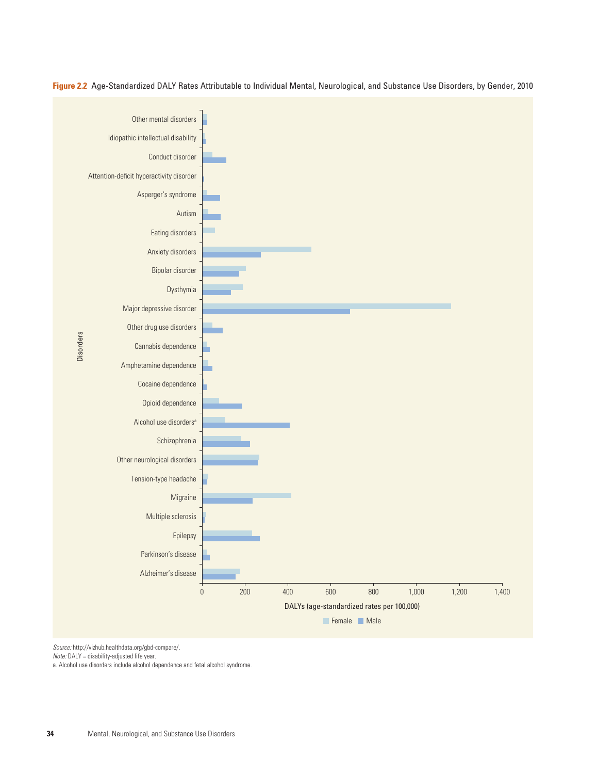

**Figure 2.2** Age-Standardized DALY Rates Attributable to Individual Mental, Neurological, and Substance Use Disorders, by Gender, 2010

*Source:* [http://vizhub.healthdata.org/gbd-compare/.](http://vizhub.healthdata.org/gbd-compare/)

*Note:* DALY = disability-adjusted life year.

a. Alcohol use disorders include alcohol dependence and fetal alcohol syndrome.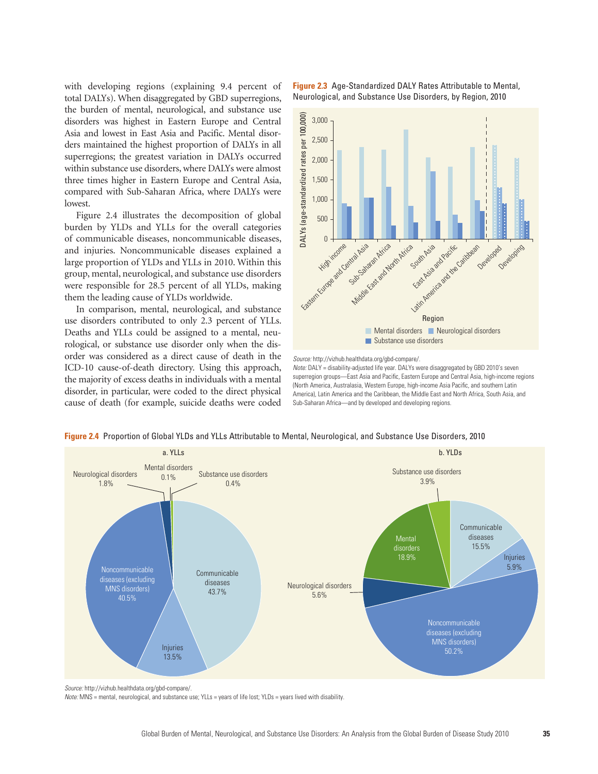with developing regions (explaining 9.4 percent of total DALYs). When disaggregated by GBD superregions, the burden of mental, neurological, and substance use disorders was highest in Eastern Europe and Central Asia and lowest in East Asia and Pacific. Mental disorders maintained the highest proportion of DALYs in all superregions; the greatest variation in DALYs occurred within substance use disorders, where DALYs were almost three times higher in Eastern Europe and Central Asia, compared with Sub-Saharan Africa, where DALYs were lowest.

Figure 2.4 illustrates the decomposition of global burden by YLDs and YLLs for the overall categories of communicable diseases, noncommunicable diseases, and injuries. Noncommunicable diseases explained a large proportion of YLDs and YLLs in 2010. Within this group, mental, neurological, and substance use disorders were responsible for 28.5 percent of all YLDs, making them the leading cause of YLDs worldwide.

In comparison, mental, neurological, and substance use disorders contributed to only 2.3 percent of YLLs. Deaths and YLLs could be assigned to a mental, neurological, or substance use disorder only when the disorder was considered as a direct cause of death in the ICD-10 cause-of-death directory. Using this approach, the majority of excess deaths in individuals with a mental disorder, in particular, were coded to the direct physical cause of death (for example, suicide deaths were coded **Figure 2.3** Age-Standardized DALY Rates Attributable to Mental, Neurological, and Substance Use Disorders, by Region, 2010



*Source:* [http://vizhub.healthdata.org/gbd-compare/.](http://vizhub.healthdata.org/gbd-compare/)

*Note:* DALY = disability-adjusted life year. DALYs were disaggregated by GBD 2010's seven superregion groups-East Asia and Pacific, Eastern Europe and Central Asia, high-income regions (North America, Australasia, Western Europe, high-income Asia Pacific, and southern Latin America), Latin America and the Caribbean, the Middle East and North Africa, South Asia, and Sub-Saharan Africa—and by developed and developing regions.



**Figure 2.4** Proportion of Global YLDs and YLLs Attributable to Mental, Neurological, and Substance Use Disorders, 2010

*Note:* MNS = mental, neurological, and substance use; YLLs = years of life lost; YLDs = years lived with disability.

*Source:* [http://vizhub.healthdata.org/gbd-compare/.](http://vizhub.healthdata.org/gbd-compare/)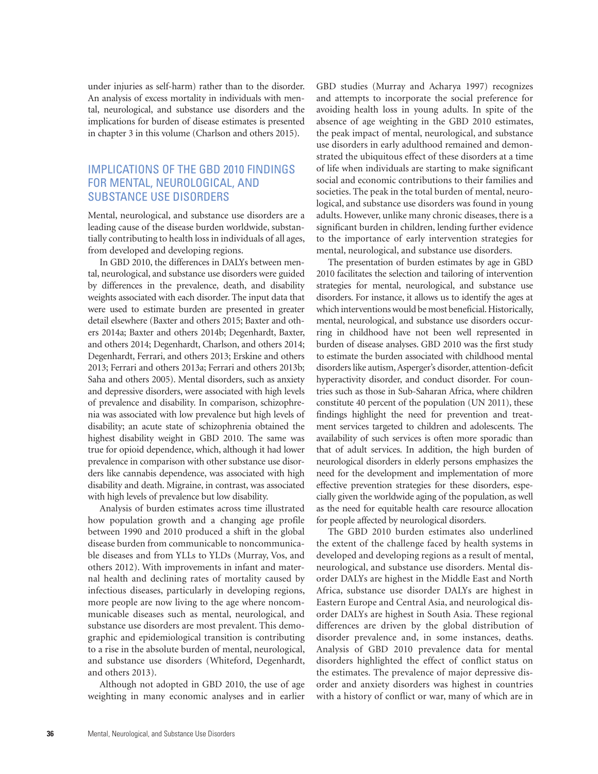under injuries as self-harm) rather than to the disorder. An analysis of excess mortality in individuals with mental, neurological, and substance use disorders and the implications for burden of disease estimates is presented in chapter 3 in this volume (Charlson and others 2015).

# IMPLICATIONS OF THE GBD 2010 FINDINGS FOR MENTAL, NEUROLOGICAL, AND SUBSTANCE USE DISORDERS

Mental, neurological, and substance use disorders are a leading cause of the disease burden worldwide, substantially contributing to health loss in individuals of all ages, from developed and developing regions.

In GBD 2010, the differences in DALYs between mental, neurological, and substance use disorders were guided by differences in the prevalence, death, and disability weights associated with each disorder. The input data that were used to estimate burden are presented in greater detail elsewhere (Baxter and others 2015; Baxter and others 2014a; Baxter and others 2014b; Degenhardt, Baxter, and others 2014; Degenhardt, Charlson, and others 2014; Degenhardt, Ferrari, and others 2013; Erskine and others 2013; Ferrari and others 2013a; Ferrari and others 2013b; Saha and others 2005). Mental disorders, such as anxiety and depressive disorders, were associated with high levels of prevalence and disability. In comparison, schizophrenia was associated with low prevalence but high levels of disability; an acute state of schizophrenia obtained the highest disability weight in GBD 2010. The same was true for opioid dependence, which, although it had lower prevalence in comparison with other substance use disorders like cannabis dependence, was associated with high disability and death. Migraine, in contrast, was associated with high levels of prevalence but low disability.

Analysis of burden estimates across time illustrated how population growth and a changing age profile between 1990 and 2010 produced a shift in the global disease burden from communicable to noncommunicable diseases and from YLLs to YLDs (Murray, Vos, and others 2012). With improvements in infant and maternal health and declining rates of mortality caused by infectious diseases, particularly in developing regions, more people are now living to the age where noncommunicable diseases such as mental, neurological, and substance use disorders are most prevalent. This demographic and epidemiological transition is contributing to a rise in the absolute burden of mental, neurological, and substance use disorders (Whiteford, Degenhardt, and others 2013).

Although not adopted in GBD 2010, the use of age weighting in many economic analyses and in earlier GBD studies (Murray and Acharya 1997) recognizes and attempts to incorporate the social preference for avoiding health loss in young adults. In spite of the absence of age weighting in the GBD 2010 estimates, the peak impact of mental, neurological, and substance use disorders in early adulthood remained and demonstrated the ubiquitous effect of these disorders at a time of life when individuals are starting to make significant social and economic contributions to their families and societies. The peak in the total burden of mental, neurological, and substance use disorders was found in young adults. However, unlike many chronic diseases, there is a significant burden in children, lending further evidence to the importance of early intervention strategies for mental, neurological, and substance use disorders.

The presentation of burden estimates by age in GBD 2010 facilitates the selection and tailoring of intervention strategies for mental, neurological, and substance use disorders. For instance, it allows us to identify the ages at which interventions would be most beneficial. Historically, mental, neurological, and substance use disorders occurring in childhood have not been well represented in burden of disease analyses. GBD 2010 was the first study to estimate the burden associated with childhood mental disorders like autism, Asperger's disorder, attention-deficit hyperactivity disorder, and conduct disorder. For countries such as those in Sub-Saharan Africa, where children constitute 40 percent of the population (UN 2011), these findings highlight the need for prevention and treatment services targeted to children and adolescents. The availability of such services is often more sporadic than that of adult services. In addition, the high burden of neurological disorders in elderly persons emphasizes the need for the development and implementation of more effective prevention strategies for these disorders, especially given the worldwide aging of the population, as well as the need for equitable health care resource allocation for people affected by neurological disorders.

The GBD 2010 burden estimates also underlined the extent of the challenge faced by health systems in developed and developing regions as a result of mental, neurological, and substance use disorders. Mental disorder DALYs are highest in the Middle East and North Africa, substance use disorder DALYs are highest in Eastern Europe and Central Asia, and neurological disorder DALYs are highest in South Asia. These regional differences are driven by the global distribution of disorder prevalence and, in some instances, deaths. Analysis of GBD 2010 prevalence data for mental disorders highlighted the effect of conflict status on the estimates. The prevalence of major depressive disorder and anxiety disorders was highest in countries with a history of conflict or war, many of which are in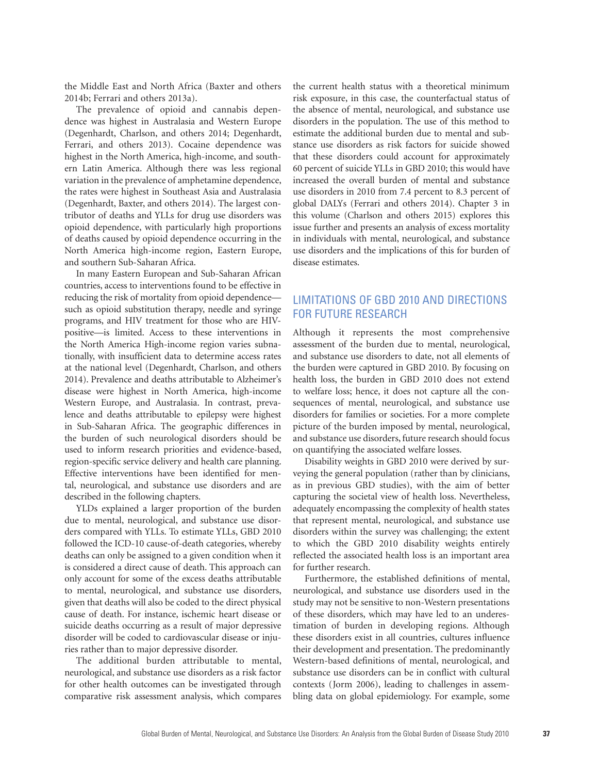the Middle East and North Africa (Baxter and others 2014b; Ferrari and others 2013a).

The prevalence of opioid and cannabis dependence was highest in Australasia and Western Europe (Degenhardt, Charlson, and others 2014; Degenhardt, Ferrari, and others 2013). Cocaine dependence was highest in the North America, high-income, and southern Latin America. Although there was less regional variation in the prevalence of amphetamine dependence, the rates were highest in Southeast Asia and Australasia (Degenhardt, Baxter, and others 2014). The largest contributor of deaths and YLLs for drug use disorders was opioid dependence, with particularly high proportions of deaths caused by opioid dependence occurring in the North America high-income region, Eastern Europe, and southern Sub-Saharan Africa.

In many Eastern European and Sub-Saharan African countries, access to interventions found to be effective in reducing the risk of mortality from opioid dependence such as opioid substitution therapy, needle and syringe programs, and HIV treatment for those who are HIVpositive—is limited. Access to these interventions in the North America High-income region varies subnationally, with insufficient data to determine access rates at the national level (Degenhardt, Charlson, and others 2014). Prevalence and deaths attributable to Alzheimer's disease were highest in North America, high-income Western Europe, and Australasia. In contrast, prevalence and deaths attributable to epilepsy were highest in Sub-Saharan Africa. The geographic differences in the burden of such neurological disorders should be used to inform research priorities and evidence-based, region-specific service delivery and health care planning. Effective interventions have been identified for mental, neurological, and substance use disorders and are described in the following chapters.

YLDs explained a larger proportion of the burden due to mental, neurological, and substance use disorders compared with YLLs. To estimate YLLs, GBD 2010 followed the ICD-10 cause-of-death categories, whereby deaths can only be assigned to a given condition when it is considered a direct cause of death. This approach can only account for some of the excess deaths attributable to mental, neurological, and substance use disorders, given that deaths will also be coded to the direct physical cause of death. For instance, ischemic heart disease or suicide deaths occurring as a result of major depressive disorder will be coded to cardiovascular disease or injuries rather than to major depressive disorder.

The additional burden attributable to mental, neurological, and substance use disorders as a risk factor for other health outcomes can be investigated through comparative risk assessment analysis, which compares the current health status with a theoretical minimum risk exposure, in this case, the counterfactual status of the absence of mental, neurological, and substance use disorders in the population. The use of this method to estimate the additional burden due to mental and substance use disorders as risk factors for suicide showed that these disorders could account for approximately 60 percent of suicide YLLs in GBD 2010; this would have increased the overall burden of mental and substance use disorders in 2010 from 7.4 percent to 8.3 percent of global DALYs (Ferrari and others 2014). Chapter 3 in this volume (Charlson and others 2015) explores this issue further and presents an analysis of excess mortality in individuals with mental, neurological, and substance use disorders and the implications of this for burden of disease estimates.

# LIMITATIONS OF GBD 2010 AND DIRECTIONS FOR FUTURE RESEARCH

Although it represents the most comprehensive assessment of the burden due to mental, neurological, and substance use disorders to date, not all elements of the burden were captured in GBD 2010. By focusing on health loss, the burden in GBD 2010 does not extend to welfare loss; hence, it does not capture all the consequences of mental, neurological, and substance use disorders for families or societies. For a more complete picture of the burden imposed by mental, neurological, and substance use disorders, future research should focus on quantifying the associated welfare losses.

Disability weights in GBD 2010 were derived by surveying the general population (rather than by clinicians, as in previous GBD studies), with the aim of better capturing the societal view of health loss. Nevertheless, adequately encompassing the complexity of health states that represent mental, neurological, and substance use disorders within the survey was challenging; the extent to which the GBD 2010 disability weights entirely reflected the associated health loss is an important area for further research.

Furthermore, the established definitions of mental, neurological, and substance use disorders used in the study may not be sensitive to non-Western presentations of these disorders, which may have led to an underestimation of burden in developing regions. Although these disorders exist in all countries, cultures influence their development and presentation. The predominantly Western-based definitions of mental, neurological, and substance use disorders can be in conflict with cultural contexts (Jorm 2006), leading to challenges in assembling data on global epidemiology. For example, some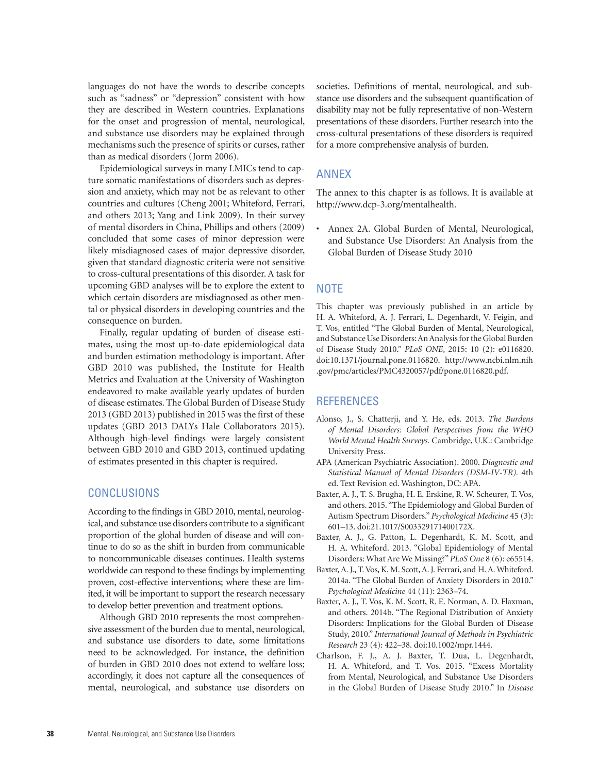languages do not have the words to describe concepts such as "sadness" or "depression" consistent with how they are described in Western countries. Explanations for the onset and progression of mental, neurological, and substance use disorders may be explained through mechanisms such the presence of spirits or curses, rather than as medical disorders (Jorm 2006).

Epidemiological surveys in many LMICs tend to capture somatic manifestations of disorders such as depression and anxiety, which may not be as relevant to other countries and cultures (Cheng 2001; Whiteford, Ferrari, and others 2013; Yang and Link 2009). In their survey of mental disorders in China, Phillips and others (2009) concluded that some cases of minor depression were likely misdiagnosed cases of major depressive disorder, given that standard diagnostic criteria were not sensitive to cross-cultural presentations of this disorder. A task for upcoming GBD analyses will be to explore the extent to which certain disorders are misdiagnosed as other mental or physical disorders in developing countries and the consequence on burden.

Finally, regular updating of burden of disease estimates, using the most up-to-date epidemiological data and burden estimation methodology is important. After GBD 2010 was published, the Institute for Health Metrics and Evaluation at the University of Washington endeavored to make available yearly updates of burden of disease estimates. The Global Burden of Disease Study 2013 (GBD 2013) published in 2015 was the first of these updates (GBD 2013 DALYs Hale Collaborators 2015). Although high-level findings were largely consistent between GBD 2010 and GBD 2013, continued updating of estimates presented in this chapter is required.

#### **CONCLUSIONS**

According to the findings in GBD 2010, mental, neurological, and substance use disorders contribute to a significant proportion of the global burden of disease and will continue to do so as the shift in burden from communicable to noncommunicable diseases continues. Health systems worldwide can respond to these findings by implementing proven, cost-effective interventions; where these are limited, it will be important to support the research necessary to develop better prevention and treatment options.

Although GBD 2010 represents the most comprehensive assessment of the burden due to mental, neurological, and substance use disorders to date, some limitations need to be acknowledged. For instance, the definition of burden in GBD 2010 does not extend to welfare loss; accordingly, it does not capture all the consequences of mental, neurological, and substance use disorders on societies. Definitions of mental, neurological, and substance use disorders and the subsequent quantification of disability may not be fully representative of non-Western presentations of these disorders. Further research into the cross-cultural presentations of these disorders is required for a more comprehensive analysis of burden.

#### ANNEX

The annex to this chapter is as follows. It is available at [http://www.dcp-3.org/mentalhealth.](http://www.dcp-3.org/mentalhealth)

• Annex 2A. Global Burden of Mental, Neurological, and Substance Use Disorders: An Analysis from the Global Burden of Disease Study 2010

### **NOTE**

This chapter was previously published in an article by H. A. Whiteford, A. J. Ferrari, L. Degenhardt, V. Feigin, and T. Vos, entitled "The Global Burden of Mental, Neurological, and Substance Use Disorders: An Analysis for the Global Burden of Disease Study 2010." *PLoS ONE*, 2015: 10 (2): e0116820. doi:10.1371/journal.pone.0116820. [http://www.ncbi.nlm.nih](http://www.ncbi.nlm.nih.gov/pmc/articles/PMC4320057/pdf/pone.0116820.pdf) [.gov/pmc/articles/PMC4320057/pdf/pone.0116820.pdf.](http://www.ncbi.nlm.nih.gov/pmc/articles/PMC4320057/pdf/pone.0116820.pdf)

#### **REFERENCES**

- Alonso, J., S. Chatterji, and Y. He, eds. 2013. *The Burdens of Mental Disorders: Global Perspectives from the WHO World Mental Health Surveys.* Cambridge, U.K.: Cambridge University Press.
- APA (American Psychiatric Association). 2000. *Diagnostic and Statistical Manual of Mental Disorders (DSM-IV-TR).* 4th ed. Text Revision ed. Washington, DC: APA.
- Baxter, A. J., T. S. Brugha, H. E. Erskine, R. W. Scheurer, T. Vos, and others. 2015. "The Epidemiology and Global Burden of Autism Spectrum Disorders." *Psychological Medicine* 45 (3): 601–13. doi:21.1017/S003329171400172X.
- Baxter, A. J., G. Patton, L. Degenhardt, K. M. Scott, and H. A. Whiteford. 2013. "Global Epidemiology of Mental Disorders: What Are We Missing?" *PLoS One* 8 (6): e65514.
- Baxter, A. J., T. Vos, K. M. Scott, A. J. Ferrari, and H. A. Whiteford. 2014a. "The Global Burden of Anxiety Disorders in 2010." *Psychological Medicine* 44 (11): 2363–74.
- Baxter, A. J., T. Vos, K. M. Scott, R. E. Norman, A. D. Flaxman, and others. 2014b. "The Regional Distribution of Anxiety Disorders: Implications for the Global Burden of Disease Study, 2010." *International Journal of Methods in Psychiatric Research* 23 (4): 422–38. doi:10.1002/mpr.1444.
- Charlson, F. J., A. J. Baxter, T. Dua, L. Degenhardt, H. A. Whiteford, and T. Vos. 2015. "Excess Mortality from Mental, Neurological, and Substance Use Disorders in the Global Burden of Disease Study 2010." In *Disease*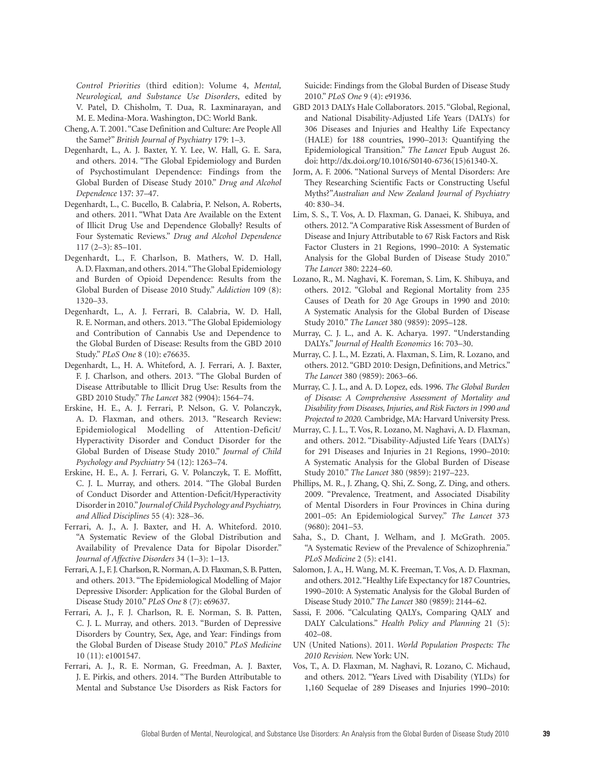*Control Priorities* (third edition): Volume 4, *Mental, Neurological, and Substance Use Disorders*, edited by V. Patel, D. Chisholm, T. Dua, R. Laxminarayan, and M. E. Medina-Mora. Washington, DC: World Bank.

- Cheng, A. T. 2001. "Case Definition and Culture: Are People All the Same?" *British Journal of Psychiatry* 179: 1–3.
- Degenhardt, L., A. J. Baxter, Y. Y. Lee, W. Hall, G. E. Sara, and others. 2014. "The Global Epidemiology and Burden of Psychostimulant Dependence: Findings from the Global Burden of Disease Study 2010." *Drug and Alcohol Dependence* 137: 37–47.
- Degenhardt, L., C. Bucello, B. Calabria, P. Nelson, A. Roberts, and others. 2011. "What Data Are Available on the Extent of Illicit Drug Use and Dependence Globally? Results of Four Systematic Reviews." *Drug and Alcohol Dependence* 117 (2–3): 85–101.
- Degenhardt, L., F. Charlson, B. Mathers, W. D. Hall, A. D. Flaxman, and others. 2014. "The Global Epidemiology and Burden of Opioid Dependence: Results from the Global Burden of Disease 2010 Study." *Addiction* 109 (8): 1320–33.
- Degenhardt, L., A. J. Ferrari, B. Calabria, W. D. Hall, R. E. Norman, and others. 2013. "The Global Epidemiology and Contribution of Cannabis Use and Dependence to the Global Burden of Disease: Results from the GBD 2010 Study." *PLoS One* 8 (10): e76635.
- Degenhardt, L., H. A. Whiteford, A. J. Ferrari, A. J. Baxter, F. J. Charlson, and others. 2013. "The Global Burden of Disease Attributable to Illicit Drug Use: Results from the GBD 2010 Study." *The Lancet* 382 (9904): 1564–74.
- Erskine, H. E., A. J. Ferrari, P. Nelson, G. V. Polanczyk, A. D. Flaxman, and others. 2013. "Research Review: Epidemiological Modelling of Attention-Deficit/ Hyperactivity Disorder and Conduct Disorder for the Global Burden of Disease Study 2010." *Journal of Child Psychology and Psychiatry* 54 (12): 1263–74.
- Erskine, H. E., A. J. Ferrari, G. V. Polanczyk, T. E. Moffitt, C. J. L. Murray, and others. 2014. "The Global Burden of Conduct Disorder and Attention-Deficit/Hyperactivity Disorder in 2010." *Journal of Child Psychology and Psychiatry, and Allied Disciplines* 55 (4): 328–36.
- Ferrari, A. J., A. J. Baxter, and H. A. Whiteford. 2010. "A Systematic Review of the Global Distribution and Availability of Prevalence Data for Bipolar Disorder." *Journal of Affective Disorders* 34 (1–3): 1–13.
- Ferrari, A. J., F. J. Charlson, R. Norman, A. D. Flaxman, S. B. Patten, and others. 2013. "The Epidemiological Modelling of Major Depressive Disorder: Application for the Global Burden of Disease Study 2010." *PLoS One* 8 (7): e69637.
- Ferrari, A. J., F. J. Charlson, R. E. Norman, S. B. Patten, C. J. L. Murray, and others. 2013. "Burden of Depressive Disorders by Country, Sex, Age, and Year: Findings from the Global Burden of Disease Study 2010." *PLoS Medicine* 10 (11): e1001547.
- Ferrari, A. J., R. E. Norman, G. Freedman, A. J. Baxter, J. E. Pirkis, and others. 2014. "The Burden Attributable to Mental and Substance Use Disorders as Risk Factors for

Suicide: Findings from the Global Burden of Disease Study 2010." *PLoS One* 9 (4): e91936.

- GBD 2013 DALYs Hale Collaborators. 2015. "Global, Regional, and National Disability-Adjusted Life Years (DALYs) for 306 Diseases and Injuries and Healthy Life Expectancy (HALE) for 188 countries, 1990–2013: Quantifying the Epidemiological Transition." *The Lancet* Epub August 26. doi: [http://dx.doi.org/10.1016/S0140-6736\(15\)61340-X.](http://dx.doi.org/10.1016/S0140-6736(15)61340-X)
- Jorm, A. F. 2006. "National Surveys of Mental Disorders: Are They Researching Scientific Facts or Constructing Useful Myths?"*Australian and New Zealand Journal of Psychiatry*  40: 830–34.
- Lim, S. S., T. Vos, A. D. Flaxman, G. Danaei, K. Shibuya, and others. 2012. "A Comparative Risk Assessment of Burden of Disease and Injury Attributable to 67 Risk Factors and Risk Factor Clusters in 21 Regions, 1990–2010: A Systematic Analysis for the Global Burden of Disease Study 2010." *The Lancet* 380: 2224–60.
- Lozano, R., M. Naghavi, K. Foreman, S. Lim, K. Shibuya, and others. 2012. "Global and Regional Mortality from 235 Causes of Death for 20 Age Groups in 1990 and 2010: A Systematic Analysis for the Global Burden of Disease Study 2010." *The Lancet* 380 (9859): 2095–128.
- Murray, C. J. L., and A. K. Acharya. 1997. "Understanding DALYs." *Journal of Health Economics* 16: 703–30.
- Murray, C. J. L., M. Ezzati, A. Flaxman, S. Lim, R. Lozano, and others. 2012. "GBD 2010: Design, Definitions, and Metrics." *The Lancet* 380 (9859): 2063–66.
- Murray, C. J. L., and A. D. Lopez, eds. 1996. *The Global Burden of Disease: A Comprehensive Assessment of Mortality and Disability from Diseases, Injuries, and Risk Factors in 1990 and Projected to 2020.* Cambridge, MA: Harvard University Press.
- Murray, C. J. L., T. Vos, R. Lozano, M. Naghavi, A. D. Flaxman, and others. 2012. "Disability-Adjusted Life Years (DALYs) for 291 Diseases and Injuries in 21 Regions, 1990–2010: A Systematic Analysis for the Global Burden of Disease Study 2010." *The Lancet* 380 (9859): 2197–223.
- Phillips, M. R., J. Zhang, Q. Shi, Z. Song, Z. Ding, and others. 2009. "Prevalence, Treatment, and Associated Disability of Mental Disorders in Four Provinces in China during 2001–05: An Epidemiological Survey." *The Lancet* 373 (9680): 2041–53.
- Saha, S., D. Chant, J. Welham, and J. McGrath. 2005. "A Systematic Review of the Prevalence of Schizophrenia." *PLoS Medicine* 2 (5): e141.
- Salomon, J. A., H. Wang, M. K. Freeman, T. Vos, A. D. Flaxman, and others. 2012. "Healthy Life Expectancy for 187 Countries, 1990–2010: A Systematic Analysis for the Global Burden of Disease Study 2010." *The Lancet* 380 (9859): 2144–62.
- Sassi, F. 2006. "Calculating QALYs, Comparing QALY and DALY Calculations." *Health Policy and Planning* 21 (5): 402–08.
- UN (United Nations). 2011. *World Population Prospects: The 2010 Revision.* New York: UN.
- Vos, T., A. D. Flaxman, M. Naghavi, R. Lozano, C. Michaud, and others. 2012. "Years Lived with Disability (YLDs) for 1,160 Sequelae of 289 Diseases and Injuries 1990–2010: